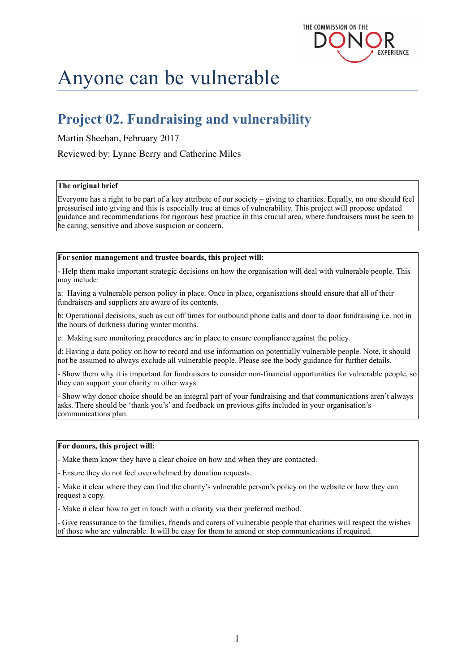

# Anyone can be vulnerable

# **Project 02. Fundraising and vulnerability**

#### Martin Sheehan, February 2017

#### Reviewed by: Lynne Berry and Catherine Miles

#### **The original brief**

Everyone has a right to be part of a key attribute of our society – giving to charities. Equally, no one should feel pressurised into giving and this is especially true at times of vulnerability. This project will propose updated guidance and recommendations for rigorous best practice in this crucial area, where fundraisers must be seen to be caring, sensitive and above suspicion or concern.

#### **For senior management and trustee boards, this project will:**

- Help them make important strategic decisions on how the organisation will deal with vulnerable people. This may include:

a: Having a vulnerable person policy in place. Once in place, organisations should ensure that all of their fundraisers and suppliers are aware of its contents.

b: Operational decisions, such as cut off times for outbound phone calls and door to door fundraising i.e. not in the hours of darkness during winter months.

c: Making sure monitoring procedures are in place to ensure compliance against the policy.

d: Having a data policy on how to record and use information on potentially vulnerable people. Note, it should not be assumed to always exclude all vulnerable people. Please see the body guidance for further details.

- Show them why it is important for fundraisers to consider non-financial opportunities for vulnerable people, so they can support your charity in other ways.

- Show why donor choice should be an integral part of your fundraising and that communications aren't always asks. There should be 'thank you's' and feedback on previous gifts included in your organisation's communications plan.

#### **For donors, this project will:**

- Make them know they have a clear choice on how and when they are contacted.

- Ensure they do not feel overwhelmed by donation requests.

- Make it clear where they can find the charity's vulnerable person's policy on the website or how they can request a copy.

- Make it clear how to get in touch with a charity via their preferred method.

- Give reassurance to the families, friends and carers of vulnerable people that charities will respect the wishes of those who are vulnerable. It will be easy for them to amend or stop communications if required.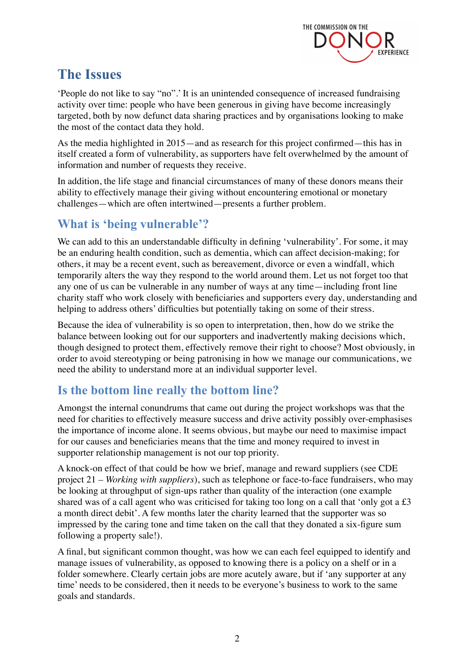

## **The Issues**

'People do not like to say "no".' It is an unintended consequence of increased fundraising activity over time: people who have been generous in giving have become increasingly targeted, both by now defunct data sharing practices and by organisations looking to make the most of the contact data they hold.

As the media highlighted in 2015—and as research for this project confirmed—this has in itself created a form of vulnerability, as supporters have felt overwhelmed by the amount of information and number of requests they receive.

In addition, the life stage and financial circumstances of many of these donors means their ability to effectively manage their giving without encountering emotional or monetary challenges—which are often intertwined—presents a further problem.

#### **What is 'being vulnerable'?**

We can add to this an understandable difficulty in defining 'vulnerability'. For some, it may be an enduring health condition, such as dementia, which can affect decision-making; for others, it may be a recent event, such as bereavement, divorce or even a windfall, which temporarily alters the way they respond to the world around them. Let us not forget too that any one of us can be vulnerable in any number of ways at any time—including front line charity staff who work closely with beneficiaries and supporters every day, understanding and helping to address others' difficulties but potentially taking on some of their stress.

Because the idea of vulnerability is so open to interpretation, then, how do we strike the balance between looking out for our supporters and inadvertently making decisions which, though designed to protect them, effectively remove their right to choose? Most obviously, in order to avoid stereotyping or being patronising in how we manage our communications, we need the ability to understand more at an individual supporter level.

### **Is the bottom line really the bottom line?**

Amongst the internal conundrums that came out during the project workshops was that the need for charities to effectively measure success and drive activity possibly over-emphasises the importance of income alone. It seems obvious, but maybe our need to maximise impact for our causes and beneficiaries means that the time and money required to invest in supporter relationship management is not our top priority.

A knock-on effect of that could be how we brief, manage and reward suppliers (see CDE project 21 *– Working with suppliers*), such as telephone or face-to-face fundraisers, who may be looking at throughput of sign-ups rather than quality of the interaction (one example shared was of a call agent who was criticised for taking too long on a call that 'only got a £3 a month direct debit'. A few months later the charity learned that the supporter was so impressed by the caring tone and time taken on the call that they donated a six-figure sum following a property sale!).

A final, but significant common thought, was how we can each feel equipped to identify and manage issues of vulnerability, as opposed to knowing there is a policy on a shelf or in a folder somewhere. Clearly certain jobs are more acutely aware, but if 'any supporter at any time' needs to be considered, then it needs to be everyone's business to work to the same goals and standards.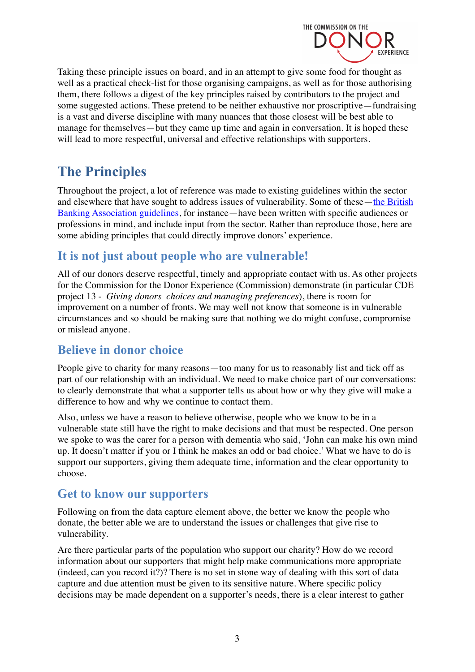

Taking these principle issues on board, and in an attempt to give some food for thought as well as a practical check-list for those organising campaigns, as well as for those authorising them, there follows a digest of the key principles raised by contributors to the project and some suggested actions. These pretend to be neither exhaustive nor proscriptive—fundraising is a vast and diverse discipline with many nuances that those closest will be best able to manage for themselves—but they came up time and again in conversation. It is hoped these will lead to more respectful, universal and effective relationships with supporters.

# **The Principles**

Throughout the project, a lot of reference was made to existing guidelines within the sector and elsewhere that have sought to address issues of vulnerability. Some of these—the British [Banking Association guidelines,](https://www.bba.org.uk/publication/bba-reports/improving-outcomes-for-customers-in-vulnerable-circumstances/) for instance—have been written with specific audiences or professions in mind, and include input from the sector. Rather than reproduce those, here are some abiding principles that could directly improve donors' experience.

### **It is not just about people who are vulnerable!**

All of our donors deserve respectful, timely and appropriate contact with us. As other projects for the Commission for the Donor Experience (Commission) demonstrate (in particular CDE project 13 - *Giving donors choices and managing preferences*), there is room for improvement on a number of fronts. We may well not know that someone is in vulnerable circumstances and so should be making sure that nothing we do might confuse, compromise or mislead anyone.

### **Believe in donor choice**

People give to charity for many reasons—too many for us to reasonably list and tick off as part of our relationship with an individual. We need to make choice part of our conversations: to clearly demonstrate that what a supporter tells us about how or why they give will make a difference to how and why we continue to contact them.

Also, unless we have a reason to believe otherwise, people who we know to be in a vulnerable state still have the right to make decisions and that must be respected. One person we spoke to was the carer for a person with dementia who said, 'John can make his own mind up. It doesn't matter if you or I think he makes an odd or bad choice.' What we have to do is support our supporters, giving them adequate time, information and the clear opportunity to choose.

#### **Get to know our supporters**

Following on from the data capture element above, the better we know the people who donate, the better able we are to understand the issues or challenges that give rise to vulnerability.

Are there particular parts of the population who support our charity? How do we record information about our supporters that might help make communications more appropriate (indeed, can you record it?)? There is no set in stone way of dealing with this sort of data capture and due attention must be given to its sensitive nature. Where specific policy decisions may be made dependent on a supporter's needs, there is a clear interest to gather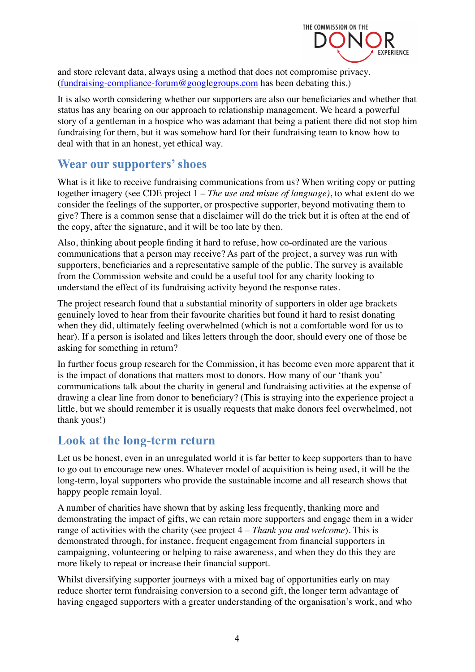

and store relevant data, always using a method that does not compromise privacy. ([fundraising-compliance-forum@googlegroups.com](mailto:fundraising-compliance-forum@googlegroups.com) has been debating this.)

It is also worth considering whether our supporters are also our beneficiaries and whether that status has any bearing on our approach to relationship management. We heard a powerful story of a gentleman in a hospice who was adamant that being a patient there did not stop him fundraising for them, but it was somehow hard for their fundraising team to know how to deal with that in an honest, yet ethical way.

#### **Wear our supporters' shoes**

What is it like to receive fundraising communications from us? When writing copy or putting together imagery (see CDE project 1 *– The use and misue of language)*, to what extent do we consider the feelings of the supporter, or prospective supporter, beyond motivating them to give? There is a common sense that a disclaimer will do the trick but it is often at the end of the copy, after the signature, and it will be too late by then.

Also, thinking about people finding it hard to refuse, how co-ordinated are the various communications that a person may receive? As part of the project, a survey was run with supporters, beneficiaries and a representative sample of the public. The survey is available from the Commission website and could be a useful tool for any charity looking to understand the effect of its fundraising activity beyond the response rates.

The project research found that a substantial minority of supporters in older age brackets genuinely loved to hear from their favourite charities but found it hard to resist donating when they did, ultimately feeling overwhelmed (which is not a comfortable word for us to hear). If a person is isolated and likes letters through the door, should every one of those be asking for something in return?

In further focus group research for the Commission, it has become even more apparent that it is the impact of donations that matters most to donors. How many of our 'thank you' communications talk about the charity in general and fundraising activities at the expense of drawing a clear line from donor to beneficiary? (This is straying into the experience project a little, but we should remember it is usually requests that make donors feel overwhelmed, not thank yous!)

#### **Look at the long-term return**

Let us be honest, even in an unregulated world it is far better to keep supporters than to have to go out to encourage new ones. Whatever model of acquisition is being used, it will be the long-term, loyal supporters who provide the sustainable income and all research shows that happy people remain loyal.

A number of charities have shown that by asking less frequently, thanking more and demonstrating the impact of gifts, we can retain more supporters and engage them in a wider range of activities with the charity (see project 4 *– Thank you and welcome*). This is demonstrated through, for instance, frequent engagement from financial supporters in campaigning, volunteering or helping to raise awareness, and when they do this they are more likely to repeat or increase their financial support.

Whilst diversifying supporter journeys with a mixed bag of opportunities early on may reduce shorter term fundraising conversion to a second gift, the longer term advantage of having engaged supporters with a greater understanding of the organisation's work, and who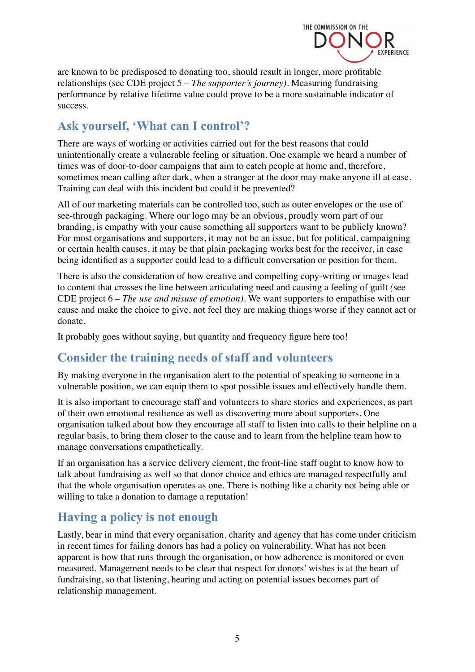

are known to be predisposed to donating too, should result in longer, more profitable relationships (see CDE project 5 – *The supporter's journey)*. Measuring fundraising performance by relative lifetime value could prove to be a more sustainable indicator of success.

#### **Ask yourself, 'What can I control'?**

There are ways of working or activities carried out for the best reasons that could unintentionally create a vulnerable feeling or situation. One example we heard a number of times was of door-to-door campaigns that aim to catch people at home and, therefore, sometimes mean calling after dark, when a stranger at the door may make anyone ill at ease. Training can deal with this incident but could it be prevented?

All of our marketing materials can be controlled too, such as outer envelopes or the use of see-through packaging. Where our logo may be an obvious, proudly worn part of our branding, is empathy with your cause something all supporters want to be publicly known? For most organisations and supporters, it may not be an issue, but for political, campaigning or certain health causes, it may be that plain packaging works best for the receiver, in case being identified as a supporter could lead to a difficult conversation or position for them.

There is also the consideration of how creative and compelling copy-writing or images lead to content that crosses the line between articulating need and causing a feeling of guilt *(*see CDE project 6 *– The use and misuse of emotion)*. We want supporters to empathise with our cause and make the choice to give, not feel they are making things worse if they cannot act or donate.

It probably goes without saying, but quantity and frequency figure here too!

#### **Consider the training needs of staff and volunteers**

By making everyone in the organisation alert to the potential of speaking to someone in a vulnerable position, we can equip them to spot possible issues and effectively handle them.

It is also important to encourage staff and volunteers to share stories and experiences, as part of their own emotional resilience as well as discovering more about supporters. One organisation talked about how they encourage all staff to listen into calls to their helpline on a regular basis, to bring them closer to the cause and to learn from the helpline team how to manage conversations empathetically.

If an organisation has a service delivery element, the front-line staff ought to know how to talk about fundraising as well so that donor choice and ethics are managed respectfully and that the whole organisation operates as one. There is nothing like a charity not being able or willing to take a donation to damage a reputation!

### **Having a policy is not enough**

Lastly, bear in mind that every organisation, charity and agency that has come under criticism in recent times for failing donors has had a policy on vulnerability. What has not been apparent is how that runs through the organisation, or how adherence is monitored or even measured. Management needs to be clear that respect for donors' wishes is at the heart of fundraising, so that listening, hearing and acting on potential issues becomes part of relationship management.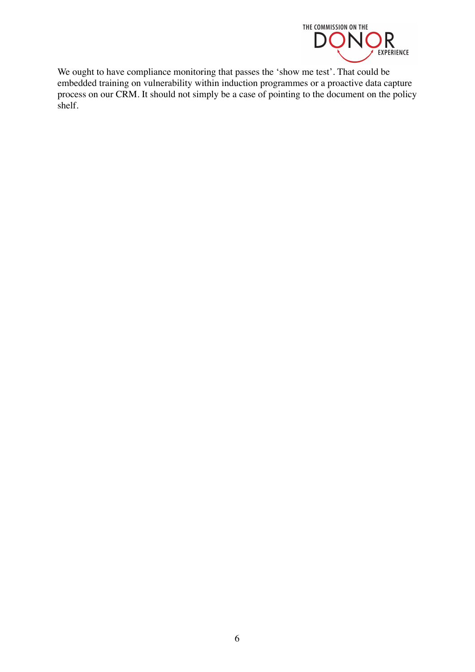

We ought to have compliance monitoring that passes the 'show me test'. That could be embedded training on vulnerability within induction programmes or a proactive data capture process on our CRM. It should not simply be a case of pointing to the document on the policy shelf.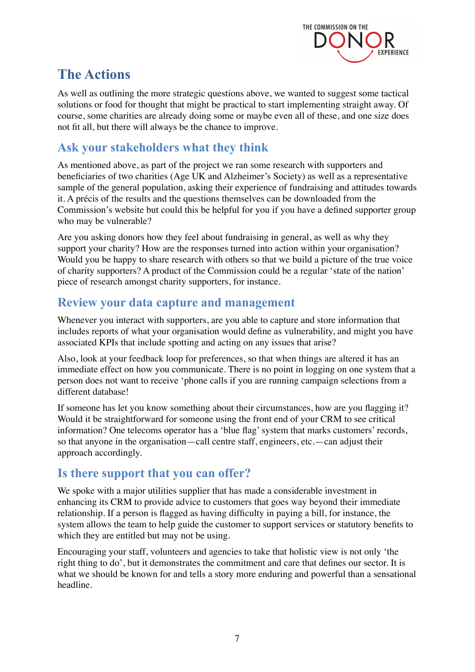

# **The Actions**

As well as outlining the more strategic questions above, we wanted to suggest some tactical solutions or food for thought that might be practical to start implementing straight away. Of course, some charities are already doing some or maybe even all of these, and one size does not fit all, but there will always be the chance to improve.

#### **Ask your stakeholders what they think**

As mentioned above, as part of the project we ran some research with supporters and beneficiaries of two charities (Age UK and Alzheimer's Society) as well as a representative sample of the general population, asking their experience of fundraising and attitudes towards it. A précis of the results and the questions themselves can be downloaded from the Commission's website but could this be helpful for you if you have a defined supporter group who may be vulnerable?

Are you asking donors how they feel about fundraising in general, as well as why they support your charity? How are the responses turned into action within your organisation? Would you be happy to share research with others so that we build a picture of the true voice of charity supporters? A product of the Commission could be a regular 'state of the nation' piece of research amongst charity supporters, for instance.

#### **Review your data capture and management**

Whenever you interact with supporters, are you able to capture and store information that includes reports of what your organisation would define as vulnerability, and might you have associated KPIs that include spotting and acting on any issues that arise?

Also, look at your feedback loop for preferences, so that when things are altered it has an immediate effect on how you communicate. There is no point in logging on one system that a person does not want to receive 'phone calls if you are running campaign selections from a different database!

If someone has let you know something about their circumstances, how are you flagging it? Would it be straightforward for someone using the front end of your CRM to see critical information? One telecoms operator has a 'blue flag' system that marks customers' records, so that anyone in the organisation—call centre staff, engineers, etc.—can adjust their approach accordingly.

#### **Is there support that you can offer?**

We spoke with a major utilities supplier that has made a considerable investment in enhancing its CRM to provide advice to customers that goes way beyond their immediate relationship. If a person is flagged as having difficulty in paying a bill, for instance, the system allows the team to help guide the customer to support services or statutory benefits to which they are entitled but may not be using.

Encouraging your staff, volunteers and agencies to take that holistic view is not only 'the right thing to do', but it demonstrates the commitment and care that defines our sector. It is what we should be known for and tells a story more enduring and powerful than a sensational headline.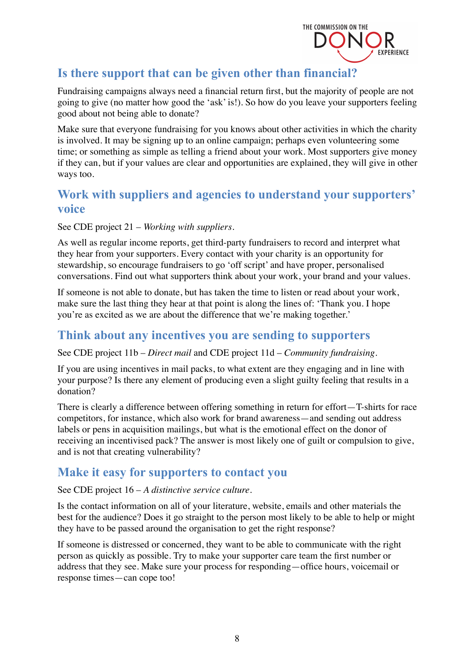

### **Is there support that can be given other than financial?**

Fundraising campaigns always need a financial return first, but the majority of people are not going to give (no matter how good the 'ask' is!). So how do you leave your supporters feeling good about not being able to donate?

Make sure that everyone fundraising for you knows about other activities in which the charity is involved. It may be signing up to an online campaign; perhaps even volunteering some time; or something as simple as telling a friend about your work. Most supporters give money if they can, but if your values are clear and opportunities are explained, they will give in other ways too.

#### **Work with suppliers and agencies to understand your supporters' voice**

See CDE project 21 – *Working with suppliers.*

As well as regular income reports, get third-party fundraisers to record and interpret what they hear from your supporters. Every contact with your charity is an opportunity for stewardship, so encourage fundraisers to go 'off script' and have proper, personalised conversations. Find out what supporters think about your work, your brand and your values.

If someone is not able to donate, but has taken the time to listen or read about your work, make sure the last thing they hear at that point is along the lines of: 'Thank you. I hope you're as excited as we are about the difference that we're making together.'

#### **Think about any incentives you are sending to supporters**

See CDE project 11b – *Direct mail* and CDE project 11d – *Community fundraising*.

If you are using incentives in mail packs, to what extent are they engaging and in line with your purpose? Is there any element of producing even a slight guilty feeling that results in a donation?

There is clearly a difference between offering something in return for effort—T-shirts for race competitors, for instance, which also work for brand awareness—and sending out address labels or pens in acquisition mailings, but what is the emotional effect on the donor of receiving an incentivised pack? The answer is most likely one of guilt or compulsion to give, and is not that creating vulnerability?

### **Make it easy for supporters to contact you**

#### See CDE project 16 – *A distinctive service culture*.

Is the contact information on all of your literature, website, emails and other materials the best for the audience? Does it go straight to the person most likely to be able to help or might they have to be passed around the organisation to get the right response?

If someone is distressed or concerned, they want to be able to communicate with the right person as quickly as possible. Try to make your supporter care team the first number or address that they see. Make sure your process for responding—office hours, voicemail or response times—can cope too!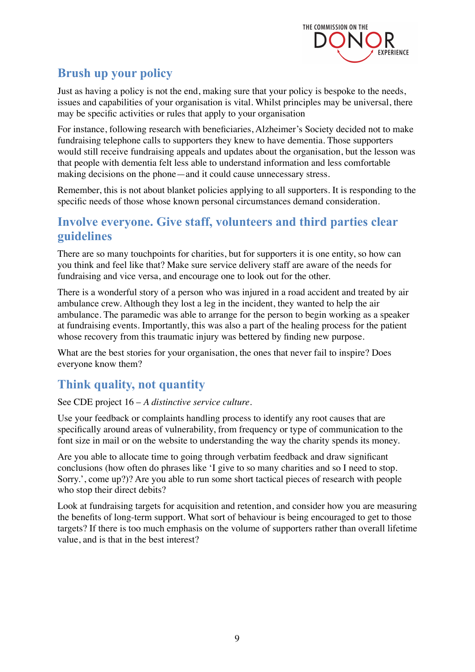

### **Brush up your policy**

Just as having a policy is not the end, making sure that your policy is bespoke to the needs, issues and capabilities of your organisation is vital. Whilst principles may be universal, there may be specific activities or rules that apply to your organisation

For instance, following research with beneficiaries, Alzheimer's Society decided not to make fundraising telephone calls to supporters they knew to have dementia. Those supporters would still receive fundraising appeals and updates about the organisation, but the lesson was that people with dementia felt less able to understand information and less comfortable making decisions on the phone—and it could cause unnecessary stress.

Remember, this is not about blanket policies applying to all supporters. It is responding to the specific needs of those whose known personal circumstances demand consideration.

#### **Involve everyone. Give staff, volunteers and third parties clear guidelines**

There are so many touchpoints for charities, but for supporters it is one entity, so how can you think and feel like that? Make sure service delivery staff are aware of the needs for fundraising and vice versa, and encourage one to look out for the other.

There is a wonderful story of a person who was injured in a road accident and treated by air ambulance crew. Although they lost a leg in the incident, they wanted to help the air ambulance. The paramedic was able to arrange for the person to begin working as a speaker at fundraising events. Importantly, this was also a part of the healing process for the patient whose recovery from this traumatic injury was bettered by finding new purpose.

What are the best stories for your organisation, the ones that never fail to inspire? Does everyone know them?

### **Think quality, not quantity**

#### See CDE project 16 – *A distinctive service culture.*

Use your feedback or complaints handling process to identify any root causes that are specifically around areas of vulnerability, from frequency or type of communication to the font size in mail or on the website to understanding the way the charity spends its money.

Are you able to allocate time to going through verbatim feedback and draw significant conclusions (how often do phrases like 'I give to so many charities and so I need to stop. Sorry.', come up?)? Are you able to run some short tactical pieces of research with people who stop their direct debits?

Look at fundraising targets for acquisition and retention, and consider how you are measuring the benefits of long-term support. What sort of behaviour is being encouraged to get to those targets? If there is too much emphasis on the volume of supporters rather than overall lifetime value, and is that in the best interest?